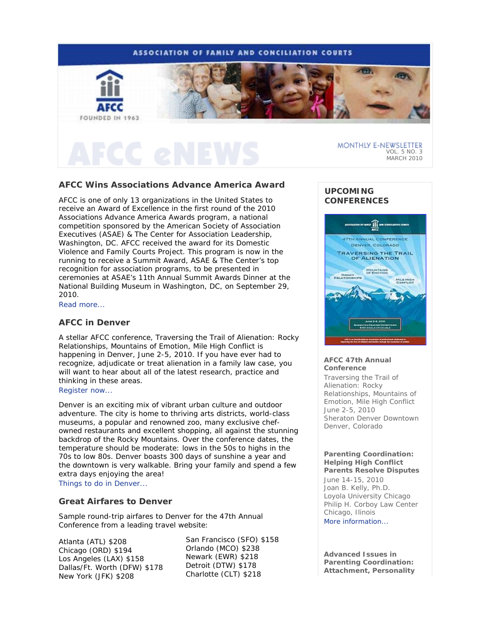

## **AFCC Wins Associations Advance America Award**

AFCC is one of only 13 organizations in the United States to receive an Award of Excellence in the first round of the 2010 Associations Advance America Awards program, a national competition sponsored by the American Society of Association Executives (ASAE) & The Center for Association Leadership, Washington, DC. AFCC received the award for its Domestic Violence and Family Courts Project. This program is now in the running to receive a Summit Award, ASAE & The Center's top recognition for association programs, to be presented in ceremonies at ASAE's 11th Annual Summit Awards Dinner at the National Building Museum in Washington, DC, on September 29, 2010.

Read more...

### **AFCC in Denver**

A stellar AFCC conference, *Traversing the Trail of Alienation: Rocky Relationships, Mountains of Emotion, Mile High Conflict* is happening in Denver, June 2-5, 2010. If you have ever had to recognize, adjudicate or treat alienation in a family law case, you will want to hear about all of the latest research, practice and thinking in these areas.

### Register now...

Denver is an exciting mix of vibrant urban culture and outdoor adventure. The city is home to thriving arts districts, world-class museums, a popular and renowned zoo, many exclusive chefowned restaurants and excellent shopping, all against the stunning backdrop of the Rocky Mountains. Over the conference dates, the temperature should be moderate: lows in the 50s to highs in the 70s to low 80s. Denver boasts 300 days of sunshine a year and the downtown is very walkable. Bring your family and spend a few extra days enjoying the area!

Things to do in Denver...

# **Great Airfares to Denver**

Sample round-trip airfares to Denver for the 47th Annual Conference from a leading travel website:

Atlanta (ATL) \$208 Chicago (ORD) \$194 Los Angeles (LAX) \$158 Dallas/Ft. Worth (DFW) \$178 New York (JFK) \$208

San Francisco (SFO) \$158 Orlando (MCO) \$238 Newark (EWR) \$218 Detroit (DTW) \$178 Charlotte (CLT) \$218

# **UPCOMING CONFERENCES**



### **AFCC 47th Annual Conference**

*Traversing the Trail of Alienation: Rocky Relationships, Mountains of Emotion, Mile High Conflict* June 2-5, 2010 Sheraton Denver Downtown Denver, Colorado

#### **Parenting Coordination: Helping High Conflict Parents Resolve Disputes**

June 14-15, 2010 Joan B. Kelly, Ph.D. Loyola University Chicago Philip H. Corboy Law Center Chicago, Ilinois More information...

**Advanced Issues in Parenting Coordination: Attachment, Personality**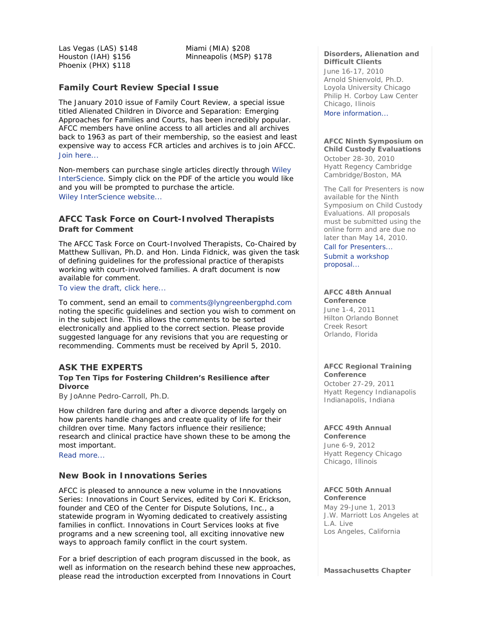Las Vegas (LAS) \$148 Houston (IAH) \$156 Phoenix (PHX) \$118

Miami (MIA) \$208 Minneapolis (MSP) \$178

### *Family Court Review* **Special Issue**

The January 2010 issue of *Family Court Review,* a special issue titled *Alienated Children in Divorce and Separation: Emerging Approaches for Families and Courts*, has been incredibly popular. AFCC members have online access to all articles and all archives back to 1963 as part of their membership, so the easiest and least expensive way to access *FCR* articles and archives is to join AFCC. Join here...

Non-members can purchase single articles directly through Wiley InterScience. Simply click on the PDF of the article you would like and you will be prompted to purchase the article. Wiley InterScience website...

## **AFCC Task Force on Court-Involved Therapists Draft for Comment**

The AFCC Task Force on Court-Involved Therapists, Co-Chaired by Matthew Sullivan, Ph.D. and Hon. Linda Fidnick, was given the task of defining guidelines for the professional practice of therapists working with court-involved families. A draft document is now available for comment.

### To view the draft, click here...

To comment, send an email to comments@lyngreenbergphd.com noting the specific guidelines and section you wish to comment on in the subject line. This allows the comments to be sorted electronically and applied to the correct section. Please provide suggested language for any revisions that you are requesting or recommending. Comments must be received by April 5, 2010.

### **ASK THE EXPERTS**

### **Top Ten Tips for Fostering Children's Resilience after Divorce**

*By JoAnne Pedro-Carroll, Ph.D.* 

How children fare during and after a divorce depends largely on how parents handle changes and create quality of life for their children over time. Many factors influence their resilience; research and clinical practice have shown these to be among the most important.

Read more...

### **New Book in Innovations Series**

AFCC is pleased to announce a new volume in the Innovations Series: *Innovations in Court Services*, edited by Cori K. Erickson, founder and CEO of the Center for Dispute Solutions, Inc., a statewide program in Wyoming dedicated to creatively assisting families in conflict. *Innovations in Court Services* looks at five programs and a new screening tool, all exciting innovative new ways to approach family conflict in the court system.

For a brief description of each program discussed in the book, as well as information on the research behind these new approaches, please read the introduction excerpted from *Innovations in Court* 

#### **Disorders, Alienation and Difficult Clients**

June 16-17, 2010 Arnold Shienvold, Ph.D. Loyola University Chicago Philip H. Corboy Law Center Chicago, Ilinois

More information...

# **AFCC Ninth Symposium on Child Custody Evaluations**

October 28-30, 2010 Hyatt Regency Cambridge Cambridge/Boston, MA

The Call for Presenters is now available for the Ninth Symposium on Child Custody Evaluations. All proposals must be submitted using the online form and are due no later than May 14, 2010.

Call for Presenters... Submit a workshop proposal...

# **AFCC 48th Annual**

**Conference** June 1-4, 2011 Hilton Orlando Bonnet Creek Resort Orlando, Florida

#### **AFCC Regional Training Conference**

October 27-29, 2011 Hyatt Regency Indianapolis Indianapolis, Indiana

#### **AFCC 49th Annual Conference**

June 6-9, 2012 Hyatt Regency Chicago Chicago, Illinois

# **AFCC 50th Annual**

**Conference** May 29-June 1, 2013 J.W. Marriott Los Angeles at L.A. Live Los Angeles, California

**Massachusetts Chapter**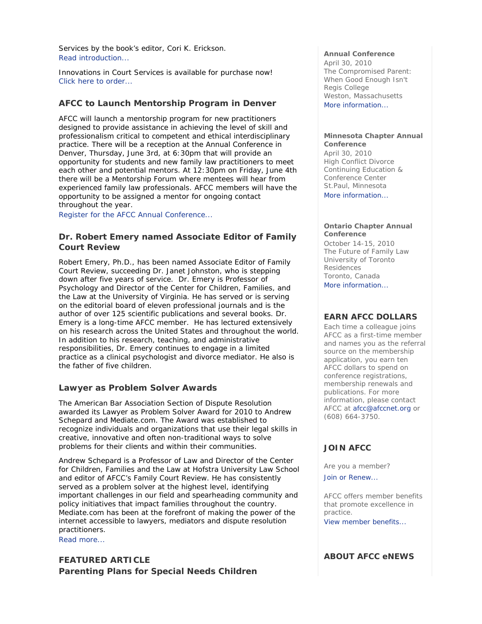*Services* by the book's editor, Cori K. Erickson. Read introduction...

*Innovations in Court Services* is available for purchase now! Click here to order...

## **AFCC to Launch Mentorship Program in Denver**

AFCC will launch a mentorship program for new practitioners designed to provide assistance in achieving the level of skill and professionalism critical to competent and ethical interdisciplinary practice. There will be a reception at the Annual Conference in Denver, Thursday, June 3rd, at 6:30pm that will provide an opportunity for students and new family law practitioners to meet each other and potential mentors. At 12:30pm on Friday, June 4th there will be a Mentorship Forum where mentees will hear from experienced family law professionals. AFCC members will have the opportunity to be assigned a mentor for ongoing contact throughout the year.

Register for the AFCC Annual Conference...

## **Dr. Robert Emery named Associate Editor of** *Family Court Review*

Robert Emery, Ph.D., has been named Associate Editor of *Family Court Review,* succeeding Dr. Janet Johnston, who is stepping down after five years of service. Dr. Emery is Professor of Psychology and Director of the Center for Children, Families, and the Law at the University of Virginia. He has served or is serving on the editorial board of eleven professional journals and is the author of over 125 scientific publications and several books. Dr. Emery is a long-time AFCC member. He has lectured extensively on his research across the United States and throughout the world. In addition to his research, teaching, and administrative responsibilities, Dr. Emery continues to engage in a limited practice as a clinical psychologist and divorce mediator. He also is the father of five children.

### **Lawyer as Problem Solver Awards**

The American Bar Association Section of Dispute Resolution awarded its Lawyer as Problem Solver Award for 2010 to Andrew Schepard and Mediate.com. The Award was established to recognize individuals and organizations that use their legal skills in creative, innovative and often non-traditional ways to solve problems for their clients and within their communities.

Andrew Schepard is a Professor of Law and Director of the Center for Children, Families and the Law at Hofstra University Law School and editor of AFCC's *Family Court Review.* He has consistently served as a problem solver at the highest level, identifying important challenges in our field and spearheading community and policy initiatives that impact families throughout the country. Mediate.com has been at the forefront of making the power of the internet accessible to lawyers, mediators and dispute resolution practitioners.

Read more...

**FEATURED ARTICLE Parenting Plans for Special Needs Children** 

#### **Annual Conference**

April 30, 2010 *The Compromised Parent: When Good Enough Isn't*  Regis College Weston, Massachusetts More information...

#### **Minnesota Chapter Annual Conference**

April 30, 2010 *High Conflict Divorce*  Continuing Education & Conference Center St.Paul, Minnesota More information...

#### **Ontario Chapter Annual Conference**

October 14-15, 2010 *The Future of Family Law*  University of Toronto Residences Toronto, Canada

More information...

### **EARN AFCC DOLLARS**

Each time a colleague joins AFCC as a first-time member and names you as the referral source on the membership application, you earn ten AFCC dollars to spend on conference registrations, membership renewals and publications. For more information, please contact AFCC at afcc@afccnet.org or (608) 664-3750.

### **JOIN AFCC**

Are you a member?

Join or Renew...

AFCC offers member benefits that promote excellence in practice.

View member benefits...

## **ABOUT AFCC eNEWS**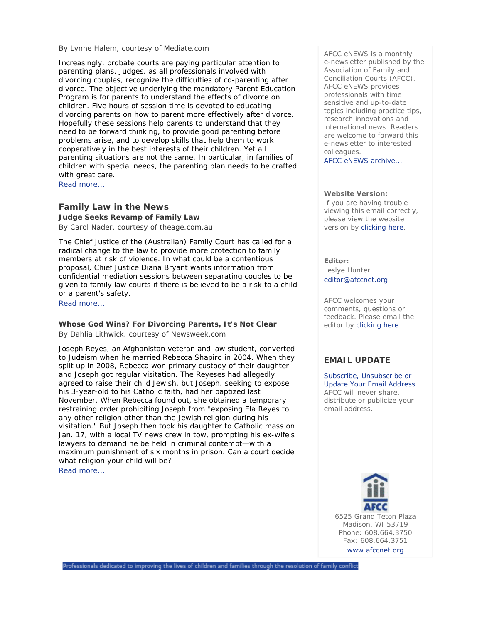#### *By Lynne Halem, courtesy of Mediate.com*

Increasingly, probate courts are paying particular attention to parenting plans. Judges, as all professionals involved with divorcing couples, recognize the difficulties of co-parenting after divorce. The objective underlying the mandatory Parent Education Program is for parents to understand the effects of divorce on children. Five hours of session time is devoted to educating divorcing parents on how to parent more effectively after divorce. Hopefully these sessions help parents to understand that they need to be forward thinking, to provide good parenting before problems arise, and to develop skills that help them to work cooperatively in the best interests of their children. Yet all parenting situations are not the same. In particular, in families of children with special needs, the parenting plan needs to be crafted with great care.

Read more...

### **Family Law in the News**

**Judge Seeks Revamp of Family Law** 

*By Carol Nader, courtesy of theage.com.au* 

The Chief Justice of the (Australian) Family Court has called for a radical change to the law to provide more protection to family members at risk of violence. In what could be a contentious proposal, Chief Justice Diana Bryant wants information from confidential mediation sessions between separating couples to be given to family law courts if there is believed to be a risk to a child or a parent's safety.

Read more...

### **Whose God Wins? For Divorcing Parents, It's Not Clear**

*By Dahlia Lithwick, courtesy of Newsweek.com* 

Joseph Reyes, an Afghanistan veteran and law student, converted to Judaism when he married Rebecca Shapiro in 2004. When they split up in 2008, Rebecca won primary custody of their daughter and Joseph got regular visitation. The Reyeses had allegedly agreed to raise their child Jewish, but Joseph, seeking to expose his 3-year-old to his Catholic faith, had her baptized last November. When Rebecca found out, she obtained a temporary restraining order prohibiting Joseph from "exposing Ela Reyes to any other religion other than the Jewish religion during his visitation." But Joseph then took his daughter to Catholic mass on Jan. 17, with a local TV news crew in tow, prompting his ex-wife's lawyers to demand he be held in criminal contempt—with a maximum punishment of six months in prison. Can a court decide what religion your child will be?

Read more...

*AFCC eNEWS* is a monthly e-newsletter published by the Association of Family and Conciliation Courts (AFCC). *AFCC eNEWS* provides professionals with time sensitive and up-to-date topics including practice tips, research innovations and international news. Readers are welcome to forward this e-newsletter to interested colleagues.

AFCC eNEWS archive...

#### **Website Version:**

If you are having trouble viewing this email correctly, please view the website version by clicking here.

**Editor:** 

Leslye Hunter editor@afccnet.org

AFCC welcomes your comments, questions or feedback. Please email the editor by clicking here.

### **EMAIL UPDATE**

Subscribe, Unsubscribe or Update Your Email Address AFCC will never share, distribute or publicize your email address.

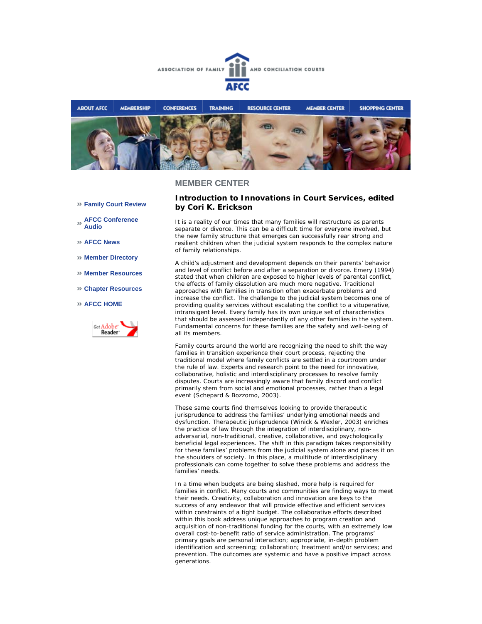



### **MEMBER CENTER**

- **Family Court Review**
- **AFCC Conference Audio**
- **AFCC News**
- **Member Directory**
- **Member Resources**
- **Chapter Resources**

#### **AFCC HOME**



### **Introduction to** *Innovations in Court Services***, edited by Cori K. Erickson**

It is a reality of our times that many families will restructure as parents separate or divorce. This can be a difficult time for everyone involved, but the new family structure that emerges can successfully rear strong and resilient children when the judicial system responds to the complex nature of family relationships.

A child's adjustment and development depends on their parents' behavior and level of conflict before and after a separation or divorce. Emery (1994) stated that when children are exposed to higher levels of parental conflict, the effects of family dissolution are much more negative. Traditional approaches with families in transition often exacerbate problems and increase the conflict. The challenge to the judicial system becomes one of providing quality services without escalating the conflict to a vituperative, intransigent level. Every family has its own unique set of characteristics that should be assessed independently of any other families in the system. Fundamental concerns for these families are the safety and well-being of all its members.

Family courts around the world are recognizing the need to shift the way families in transition experience their court process, rejecting the traditional model where family conflicts are settled in a courtroom under the rule of law. Experts and research point to the need for innovative, collaborative, holistic and interdisciplinary processes to resolve family disputes. Courts are increasingly aware that family discord and conflict primarily stem from social and emotional processes, rather than a legal event (Schepard & Bozzomo, 2003).

These same courts find themselves looking to provide therapeutic jurisprudence to address the families' underlying emotional needs and dysfunction. Therapeutic jurisprudence (Winick & Wexler, 2003) enriches the practice of law through the integration of interdisciplinary, nonadversarial, non-traditional, creative, collaborative, and psychologically beneficial legal experiences. The shift in this paradigm takes responsibility for these families' problems from the judicial system alone and places it on the shoulders of society. In this place, a multitude of interdisciplinary professionals can come together to solve these problems and address the families' needs.

In a time when budgets are being slashed, more help is required for families in conflict. Many courts and communities are finding ways to meet their needs. Creativity, collaboration and innovation are keys to the success of any endeavor that will provide effective and efficient services within constraints of a tight budget. The collaborative efforts described within this book address unique approaches to program creation and acquisition of non-traditional funding for the courts, with an extremely low overall cost-to-benefit ratio of service administration. The programs' primary goals are personal interaction; appropriate, in-depth problem identification and screening; collaboration; treatment and/or services; and prevention. The outcomes are systemic and have a positive impact across generations.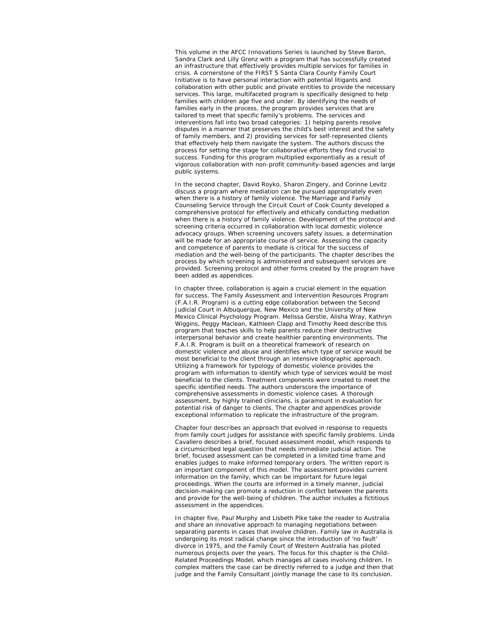This volume in the AFCC Innovations Series is launched by Steve Baron, Sandra Clark and Lilly Grenz with a program that has successfully created an infrastructure that effectively provides multiple services for families in crisis. A cornerstone of the FIRST 5 Santa Clara County Family Court Initiative is to have personal interaction with potential litigants and collaboration with other public and private entities to provide the necessary services. This large, multifaceted program is specifically designed to help families with children age five and under. By identifying the needs of families early in the process, the program provides services that are tailored to meet that specific family's problems. The services and interventions fall into two broad categories: 1) helping parents resolve disputes in a manner that preserves the child's best interest and the safety of family members, and 2) providing services for self-represented clients that effectively help them navigate the system. The authors discuss the process for setting the stage for collaborative efforts they find crucial to success. Funding for this program multiplied exponentially as a result of vigorous collaboration with non-profit community-based agencies and large public systems.

In the second chapter, David Royko, Sharon Zingery, and Corinne Levitz discuss a program where mediation can be pursued appropriately even when there is a history of family violence. The Marriage and Family Counseling Service through the Circuit Court of Cook County developed a comprehensive protocol for effectively and ethically conducting mediation when there is a history of family violence. Development of the protocol and screening criteria occurred in collaboration with local domestic violence advocacy groups. When screening uncovers safety issues, a determination will be made for an appropriate course of service. Assessing the capacity and competence of parents to mediate is critical for the success of mediation and the well-being of the participants. The chapter describes the process by which screening is administered and subsequent services are provided. Screening protocol and other forms created by the program have been added as appendices.

In chapter three, collaboration is again a crucial element in the equation for success. The Family Assessment and Intervention Resources Program (F.A.I.R. Program) is a cutting edge collaboration between the Second Judicial Court in Albuquerque, New Mexico and the University of New Mexico Clinical Psychology Program. Melissa Gerstle, Alisha Wray, Kathryn Wiggins, Peggy Maclean, Kathleen Clapp and Timothy Reed describe this program that teaches skills to help parents reduce their destructive interpersonal behavior and create healthier parenting environments. The F.A.I.R. Program is built on a theoretical framework of research on domestic violence and abuse and identifies which type of service would be most beneficial to the client through an intensive idiographic approach. Utilizing a framework for typology of domestic violence provides the program with information to identify which type of services would be most beneficial to the clients. Treatment components were created to meet the specific identified needs. The authors underscore the importance of comprehensive assessments in domestic violence cases. A thorough assessment, by highly trained clinicians, is paramount in evaluation for potential risk of danger to clients. The chapter and appendices provide exceptional information to replicate the infrastructure of the program.

Chapter four describes an approach that evolved in response to requests from family court judges for assistance with specific family problems. Linda Cavallero describes a brief, focused assessment model, which responds to a circumscribed legal question that needs immediate judicial action. The brief, focused assessment can be completed in a limited time frame and enables judges to make informed temporary orders. The written report is an important component of this model. The assessment provides current information on the family, which can be important for future legal proceedings. When the courts are informed in a timely manner, judicial decision-making can promote a reduction in conflict between the parents and provide for the well-being of children. The author includes a fictitious assessment in the appendices.

In chapter five, Paul Murphy and Lisbeth Pike take the reader to Australia and share an innovative approach to managing negotiations between separating parents in cases that involve children. Family law in Australia is undergoing its most radical change since the introduction of 'no fault' divorce in 1975, and the Family Court of Western Australia has piloted numerous projects over the years. The focus for this chapter is the Child-Related Proceedings Model, which manages all cases involving children. In complex matters the case can be directly referred to a judge and then that judge and the Family Consultant jointly manage the case to its conclusion.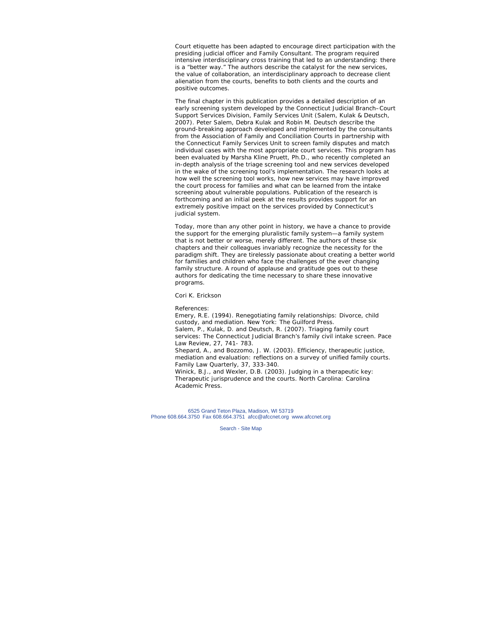Court etiquette has been adapted to encourage direct participation with the presiding judicial officer and Family Consultant. The program required intensive interdisciplinary cross training that led to an understanding: there is a "better way." The authors describe the catalyst for the new services, the value of collaboration, an interdisciplinary approach to decrease client alienation from the courts, benefits to both clients and the courts and positive outcomes.

The final chapter in this publication provides a detailed description of an early screening system developed by the Connecticut Judicial Branch–Court Support Services Division, Family Services Unit (Salem, Kulak & Deutsch, 2007). Peter Salem, Debra Kulak and Robin M. Deutsch describe the ground-breaking approach developed and implemented by the consultants from the Association of Family and Conciliation Courts in partnership with the Connecticut Family Services Unit to screen family disputes and match individual cases with the most appropriate court services. This program has been evaluated by Marsha Kline Pruett, Ph.D., who recently completed an in-depth analysis of the triage screening tool and new services developed in the wake of the screening tool's implementation. The research looks at how well the screening tool works, how new services may have improved the court process for families and what can be learned from the intake screening about vulnerable populations. Publication of the research is forthcoming and an initial peek at the results provides support for an extremely positive impact on the services provided by Connecticut's judicial system.

Today, more than any other point in history, we have a chance to provide the support for the emerging pluralistic family system—a family system that is not better or worse, merely different. The authors of these six chapters and their colleagues invariably recognize the necessity for the paradigm shift. They are tirelessly passionate about creating a better world for families and children who face the challenges of the ever changing family structure. A round of applause and gratitude goes out to these authors for dedicating the time necessary to share these innovative programs.

Cori K. Erickson

References: Emery, R.E. (1994). Renegotiating family relationships: Divorce, child custody, and mediation. New York: The Guilford Press. Salem, P., Kulak, D. and Deutsch, R. (2007). Triaging family court services: The Connecticut Judicial Branch's family civil intake screen. Pace Law Review, 27, 741- 783. Shepard, A., and Bozzomo, J. W. (2003). Efficiency, therapeutic justice, mediation and evaluation: reflections on a survey of unified family courts. Family Law Quarterly, 37, 333-340. Winick, B.J., and Wexler, D.B. (2003). Judging in a therapeutic key: Therapeutic jurisprudence and the courts. North Carolina: Carolina Academic Press.

6525 Grand Teton Plaza, Madison, WI 53719 Phone 608.664.3750 Fax 608.664.3751 afcc@afccnet.org www.afccnet.org

Search - Site Map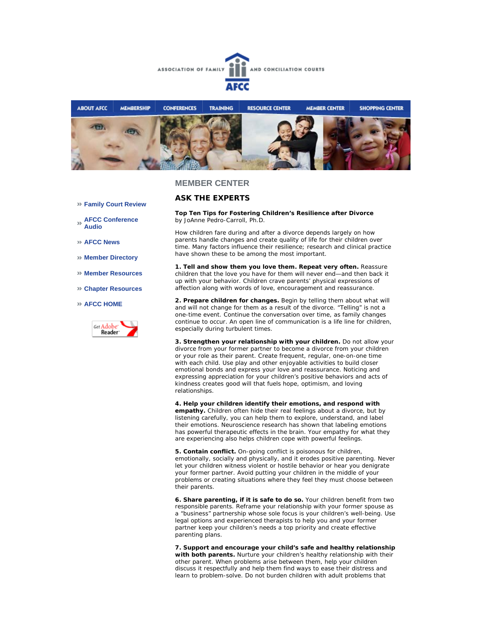



### **MEMBER CENTER**

# **ASK THE EXPERTS**

**Top Ten Tips for Fostering Children's Resilience after Divorce** *by JoAnne Pedro-Carroll, Ph.D.*

How children fare during and after a divorce depends largely on how parents handle changes and create quality of life for their children over time. Many factors influence their resilience; research and clinical practice have shown these to be among the most important.

**1. Tell and show them you love them. Repeat very often.** Reassure children that the love you have for them will never end—and then back it up with your behavior. Children crave parents' physical expressions of affection along with words of love, encouragement and reassurance.

**2. Prepare children for changes.** Begin by telling them about what *will* and *will not* change for them as a result of the divorce. "Telling" is not a one-time event. Continue the conversation over time, as family changes continue to occur. An open line of communication is a life line for children, especially during turbulent times.

**3. Strengthen your relationship with your children.** Do not allow your divorce from your former partner to become a divorce from your children or your role as their parent. Create frequent, regular, one-on-one time with each child. Use play and other enjoyable activities to build closer emotional bonds and express your love and reassurance. Noticing and expressing appreciation for your children's positive behaviors and acts of kindness creates good will that fuels hope, optimism, and loving relationships.

**4. Help your children identify their emotions, and respond with empathy.** Children often hide their real feelings about a divorce, but by listening carefully, you can help them to explore, understand, and label their emotions. Neuroscience research has shown that labeling emotions has powerful therapeutic effects in the brain. Your empathy for what they are experiencing also helps children cope with powerful feelings.

**5. Contain conflict.** On-going conflict is poisonous for children, emotionally, socially and physically, and it erodes positive parenting. Never let your children witness violent or hostile behavior or hear you denigrate your former partner. Avoid putting your children in the middle of your problems or creating situations where they feel they must choose between their parents.

**6. Share parenting, if it is safe to do so.** Your children benefit from two responsible parents. Reframe your relationship with your former spouse as a "business" partnership whose sole focus is your children's well-being. Use legal options and experienced therapists to help you and your former partner keep your children's needs a top priority and create effective parenting plans.

**7. Support and encourage your child's safe and healthy relationship with both parents.** Nurture your children's healthy relationship with their other parent. When problems arise between them, help your children discuss it respectfully and help them find ways to ease their distress and learn to problem-solve. Do not burden children with adult problems that

- **Family Court Review**
- **AFCC Conference Audio**
- **AFCC News**
- **Member Directory**
- **Member Resources**
- **Chapter Resources**
- **AFCC HOME**

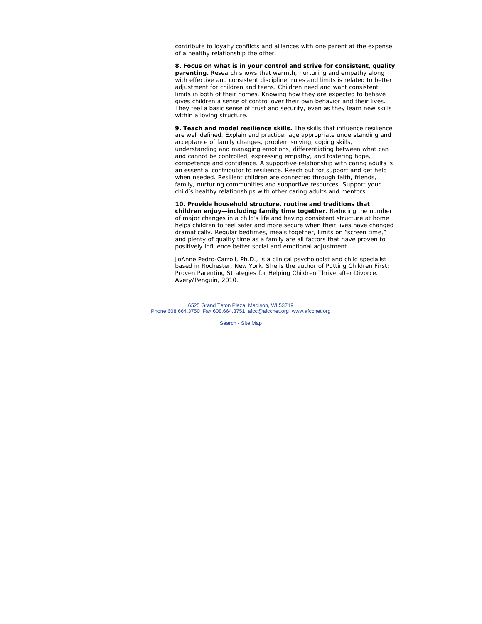contribute to loyalty conflicts and alliances with one parent at the expense of a healthy relationship the other.

**8. Focus on what is in your control and strive for consistent, quality** parenting. Research shows that warmth, nurturing and empathy along with effective and consistent discipline, rules and limits is related to better adjustment for children and teens. Children need and want consistent limits in both of their homes. Knowing how they are expected to behave gives children a sense of control over their own behavior and their lives. They feel a basic sense of trust and security, even as they learn new skills within a loving structure.

**9. Teach and model resilience skills.** The skills that influence resilience are well defined. Explain and practice: age appropriate understanding and acceptance of family changes, problem solving, coping skills, understanding and managing emotions, differentiating between what can and cannot be controlled, expressing empathy, and fostering hope, competence and confidence. A supportive relationship with caring adults is an essential contributor to resilience. Reach out for support and get help when needed. Resilient children are connected through faith, friends, family, nurturing communities and supportive resources. Support your child's healthy relationships with other caring adults and mentors.

**10. Provide household structure, routine and traditions that children enjoy—including family time together.** Reducing the number of major changes in a child's life and having consistent structure at home helps children to feel safer and more secure when their lives have changed dramatically. Regular bedtimes, meals together, limits on "screen time," and plenty of quality time as a family are all factors that have proven to positively influence better social and emotional adjustment.

*JoAnne Pedro-Carroll, Ph.D., is a clinical psychologist and child specialist based in Rochester, New York. She is the author of Putting Children First: Proven Parenting Strategies for Helping Children Thrive after Divorce. Avery/Penguin, 2010.* 

6525 Grand Teton Plaza, Madison, WI 53719 Phone 608.664.3750 Fax 608.664.3751 afcc@afccnet.org www.afccnet.org

Search - Site Map